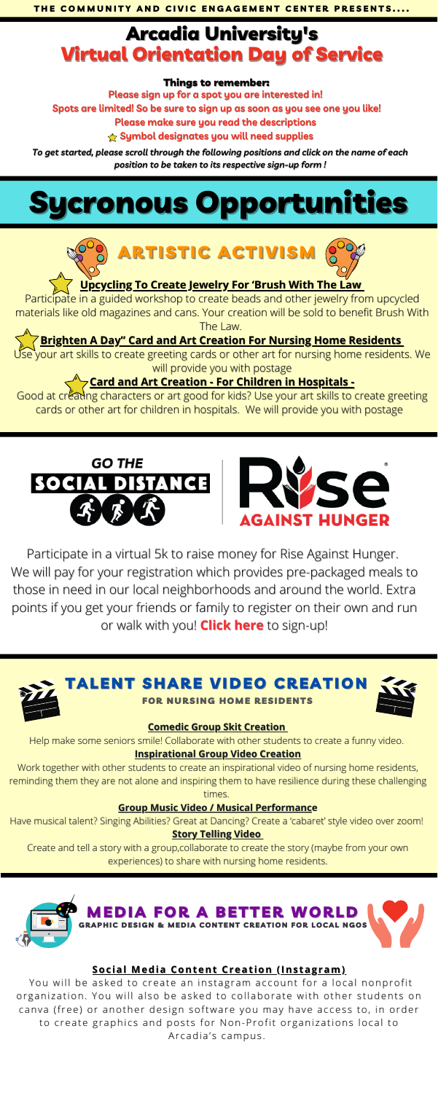

**[Upcycling](https://www.signupgenius.com/go/10c0d4da4a722a3f8cf8-upcycling) To Create Jewelry For 'Brush With The Law**

Participate in a guided workshop to create beads and other jewelry from upcycled materials like old magazines and cans. Your creation will be sold to benefit Brush With The Law.

Se your art skills to create greeting cards or other art for nursing home residents. We will provide you with postage

#### **Brighten A Day" Card and Art Creation For Nursing Home [Residents](https://www.signupgenius.com/go/10c0d4da4a722a3f8cf8-brighten)**

Good at creating characters or art good for kids? Use your art skills to create greeting cards or other art for children in hospitals. We will provide you with postage





# **Card and Art Creation - For Children in [Hospitals](https://www.signupgenius.com/go/10c0d4da4a722a3f8cf8-card) -**

#### **[Comedic](https://www.signupgenius.com/go/10c0d4da4a722a3f8cf8-comedic) Group Skit Creatio[n](https://www.signupgenius.com/go/10c0d4da4a722a3f8cf8-comedic)**

Help make some seniors smile! Collaborate with other students to create a funny video.

#### **[Inspirational](https://www.signupgenius.com/go/10c0d4da4a722a3f8cf8-comedic) Group Video Creation**

Work together with other students to create an inspirational video of nursing home residents, reminding them they are not alone and inspiring them to have resilience during these challenging times.

#### **Group Music Video / Musical [Performanc](https://www.signupgenius.com/go/10c0d4da4a722a3f8cf8-comedic)e**

Have musical talent? Singing Abilities? Great at Dancing? Create a 'cabaret' style video over zoom! **Story [Telling](https://www.signupgenius.com/go/10c0d4da4a722a3f8cf8-comedic) Video**

Create and tell a story with a group,collaborate to create the story (maybe from your own experiences) to share with nursing home residents.

# Arcadia University's Virtual Orientation Day of Service

Participate in a virtual 5k to raise money for Rise Against Hunger. We will pay for your registration which provides pre-packaged meals to those in need in our local neighborhoods and around the world. Extra points if you get your friends or family to register on their own and run or walk with you! **[Click](https://www.signupgenius.com/go/10c0d4da4a722a3f8cf8-gothesocial) here** to sign-up!



LENT SHARE VIDEO CRI

**NURSING HOME RESIDENTS** 



**Please sign up for a spot you are interested in! Spots are limited! So be sure to sign up as soon as you see one you like! Please make sure you read the descriptions Symbol designates you will need supplies**

#### Things to remember:

*To get started, please scroll through the following positions and click on the name of each position to be taken to its respective sign-up form !*

# ronous Opportunities

#### **Soc ial Media [Content](https://www.signupgenius.com/go/10c0d4da4a722a3f8cf8-social) Creat ion (Ins tagram)**

You will be asked to create an instagram account for a local nonprofit organization. You will also be asked to collaborate with other students on canva (free) or another design software you may have access to, in order to create graphics and posts for Non-Profit organizations local to Arcadia's campus.